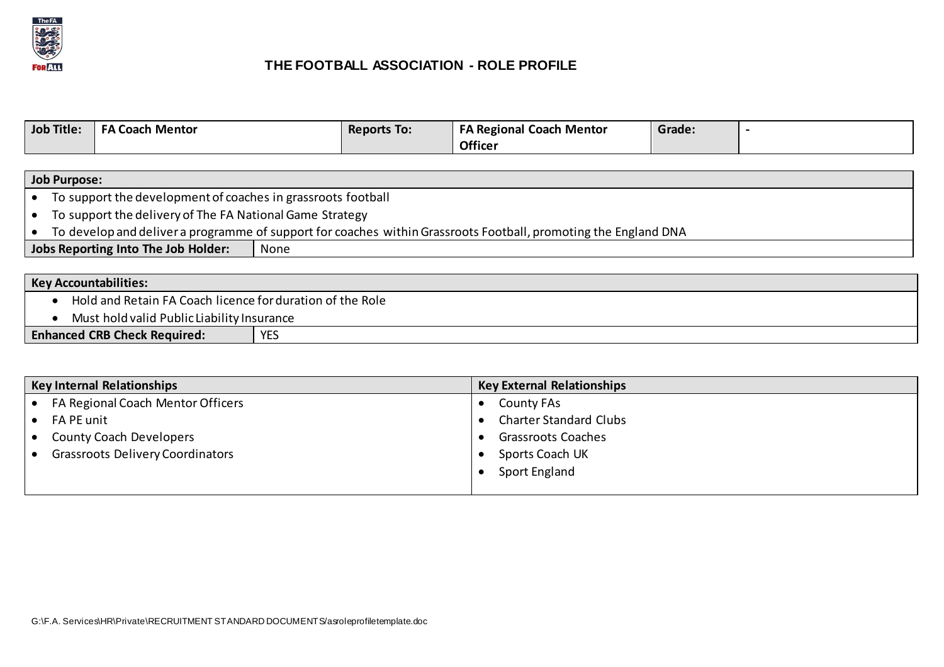

## **THE FOOTBALL ASSOCIATION - ROLE PROFILE**

| <b>Job Title:</b> | Coach Mentor<br>FД | <b>Reports To:</b> | <b>FA Regional</b><br>Coach Mentor<br><b>Officer</b> | Grade: |  |
|-------------------|--------------------|--------------------|------------------------------------------------------|--------|--|
|                   |                    |                    |                                                      |        |  |

| <b>Job Purpose:</b>                                                                                             |  |  |  |  |
|-----------------------------------------------------------------------------------------------------------------|--|--|--|--|
| To support the development of coaches in grassroots football                                                    |  |  |  |  |
| To support the delivery of The FA National Game Strategy                                                        |  |  |  |  |
| To develop and deliver a programme of support for coaches within Grassroots Football, promoting the England DNA |  |  |  |  |
| Jobs Reporting Into The Job Holder:<br>None                                                                     |  |  |  |  |
|                                                                                                                 |  |  |  |  |
| <b>Key Accountabilities:</b>                                                                                    |  |  |  |  |

- Hold and Retain FA Coach licence for duration of the Role
- Must hold valid Public Liability Insurance

**Enhanced CRB Check Required:** YES

| <b>Key Internal Relationships</b>           | <b>Key External Relationships</b> |
|---------------------------------------------|-----------------------------------|
| FA Regional Coach Mentor Officers<br>∣●     | <b>County FAs</b>                 |
| FA PE unit                                  | <b>Charter Standard Clubs</b>     |
| <b>County Coach Developers</b><br>$\bullet$ | <b>Grassroots Coaches</b>         |
| <b>Grassroots Delivery Coordinators</b>     | Sports Coach UK                   |
|                                             | Sport England                     |
|                                             |                                   |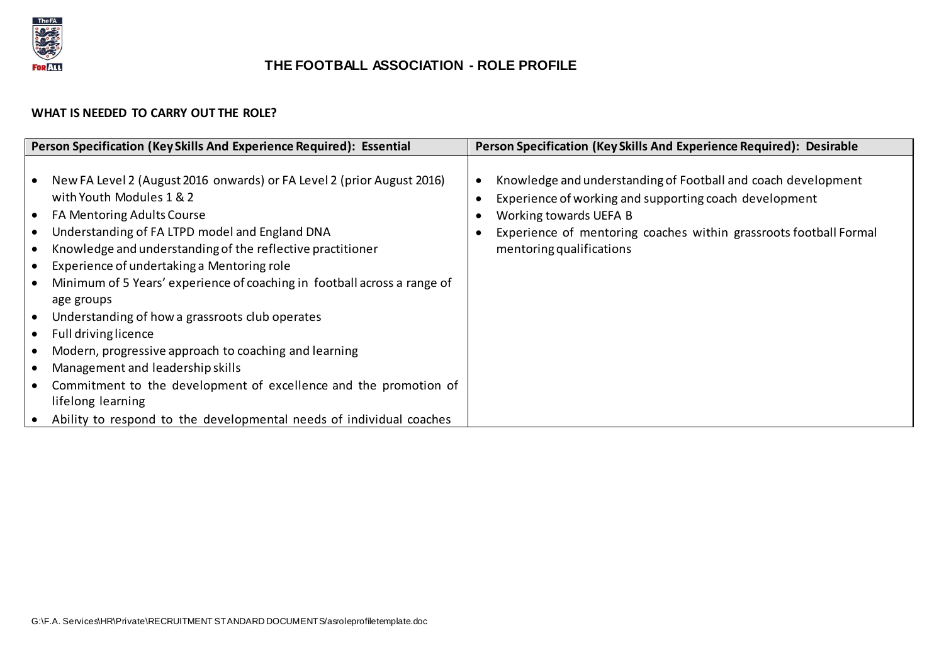

## **THE FOOTBALL ASSOCIATION - ROLE PROFILE**

## **WHAT IS NEEDED TO CARRY OUT THE ROLE?**

| Person Specification (Key Skills And Experience Required): Essential                                                                                                                                                                                                                                                                                                                                                                                                                                                                                                                                                                                                                                                             | Person Specification (Key Skills And Experience Required): Desirable                                                                                                                                                                               |  |
|----------------------------------------------------------------------------------------------------------------------------------------------------------------------------------------------------------------------------------------------------------------------------------------------------------------------------------------------------------------------------------------------------------------------------------------------------------------------------------------------------------------------------------------------------------------------------------------------------------------------------------------------------------------------------------------------------------------------------------|----------------------------------------------------------------------------------------------------------------------------------------------------------------------------------------------------------------------------------------------------|--|
| New FA Level 2 (August 2016 onwards) or FA Level 2 (prior August 2016)<br>with Youth Modules 1 & 2<br>FA Mentoring Adults Course<br>Understanding of FA LTPD model and England DNA<br>Knowledge and understanding of the reflective practitioner<br>Experience of undertaking a Mentoring role<br>Minimum of 5 Years' experience of coaching in football across a range of<br>age groups<br>Understanding of how a grassroots club operates<br>Full driving licence<br>Modern, progressive approach to coaching and learning<br>Management and leadership skills<br>Commitment to the development of excellence and the promotion of<br>lifelong learning<br>Ability to respond to the developmental needs of individual coaches | Knowledge and understanding of Football and coach development<br>Experience of working and supporting coach development<br>Working towards UEFA B<br>Experience of mentoring coaches within grassroots football Formal<br>mentoring qualifications |  |